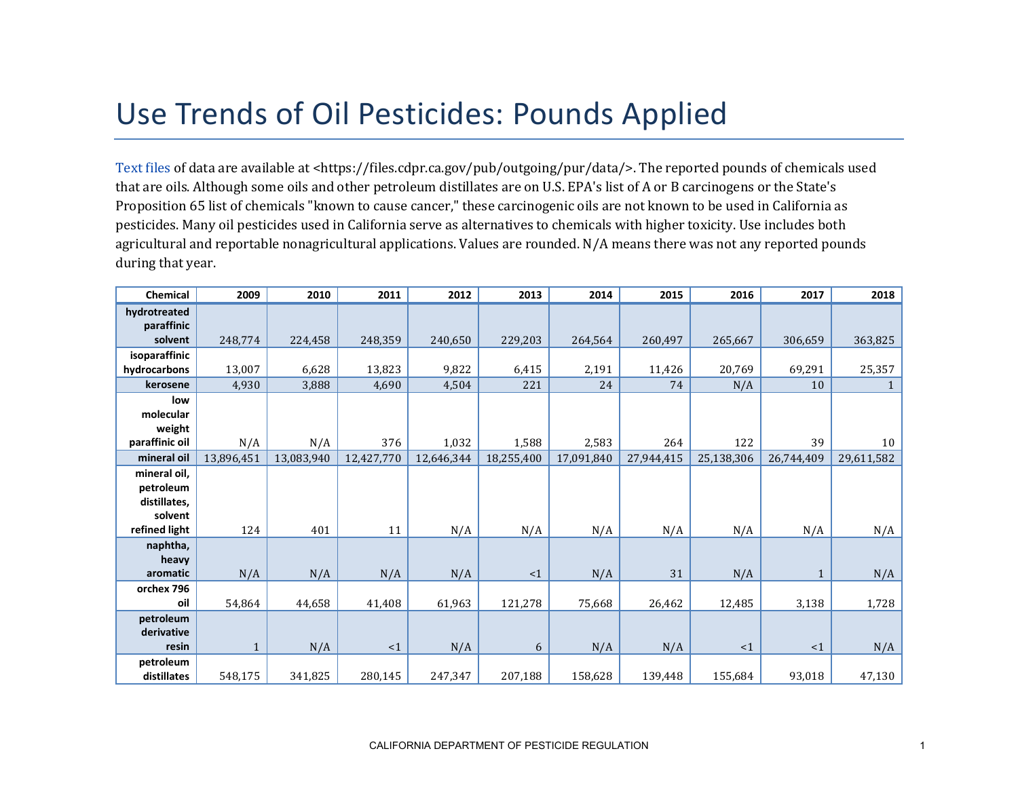## Use Trends of Oil Pesticides: Pounds Applied

[Text files](https://files.cdpr.ca.gov/pub/outgoing/pur/data/) of data are available at <https://files.cdpr.ca.gov/pub/outgoing/pur/data/>. The reported pounds of chemicals used that are oils. Although some oils and other petroleum distillates are on U.S. EPA's list of A or B carcinogens or the State's Proposition 65 list of chemicals "known to cause cancer," these carcinogenic oils are not known to be used in California as pesticides. Many oil pesticides used in California serve as alternatives to chemicals with higher toxicity. Use includes both agricultural and reportable nonagricultural applications. Values are rounded. N/A means there was not any reported pounds during that year.

| <b>Chemical</b> | 2009         | 2010       | 2011       | 2012       | 2013       | 2014       | 2015       | 2016       | 2017       | 2018       |
|-----------------|--------------|------------|------------|------------|------------|------------|------------|------------|------------|------------|
| hydrotreated    |              |            |            |            |            |            |            |            |            |            |
| paraffinic      |              |            |            |            |            |            |            |            |            |            |
| solvent         | 248,774      | 224,458    | 248,359    | 240,650    | 229,203    | 264,564    | 260,497    | 265,667    | 306,659    | 363,825    |
| isoparaffinic   |              |            |            |            |            |            |            |            |            |            |
| hydrocarbons    | 13,007       | 6,628      | 13,823     | 9,822      | 6,415      | 2,191      | 11,426     | 20,769     | 69,291     | 25,357     |
| kerosene        | 4,930        | 3,888      | 4,690      | 4,504      | 221        | 24         | 74         | N/A        | 10         |            |
| low             |              |            |            |            |            |            |            |            |            |            |
| molecular       |              |            |            |            |            |            |            |            |            |            |
| weight          |              |            |            |            |            |            |            |            |            |            |
| paraffinic oil  | N/A          | N/A        | 376        | 1,032      | 1,588      | 2,583      | 264        | 122        | 39         | 10         |
| mineral oil     | 13,896,451   | 13,083,940 | 12,427,770 | 12,646,344 | 18,255,400 | 17,091,840 | 27,944,415 | 25,138,306 | 26,744,409 | 29,611,582 |
| mineral oil,    |              |            |            |            |            |            |            |            |            |            |
| petroleum       |              |            |            |            |            |            |            |            |            |            |
| distillates,    |              |            |            |            |            |            |            |            |            |            |
| solvent         |              |            |            |            |            |            |            |            |            |            |
| refined light   | 124          | 401        | 11         | N/A        | N/A        | N/A        | N/A        | N/A        | N/A        | N/A        |
| naphtha,        |              |            |            |            |            |            |            |            |            |            |
| heavy           |              |            |            |            |            |            |            |            |            |            |
| aromatic        | N/A          | N/A        | N/A        | N/A        | <1         | N/A        | 31         | N/A        | 1          | N/A        |
| orchex 796      |              |            |            |            |            |            |            |            |            |            |
| oil             | 54,864       | 44,658     | 41,408     | 61,963     | 121,278    | 75,668     | 26,462     | 12,485     | 3,138      | 1,728      |
| petroleum       |              |            |            |            |            |            |            |            |            |            |
| derivative      |              |            |            |            |            |            |            |            |            |            |
| resin           | $\mathbf{1}$ | N/A        | <1         | N/A        | 6          | N/A        | N/A        | <1         | $\leq 1$   | N/A        |
| petroleum       |              |            |            |            |            |            |            |            |            |            |
| distillates     | 548,175      | 341,825    | 280,145    | 247,347    | 207,188    | 158,628    | 139,448    | 155,684    | 93,018     | 47,130     |